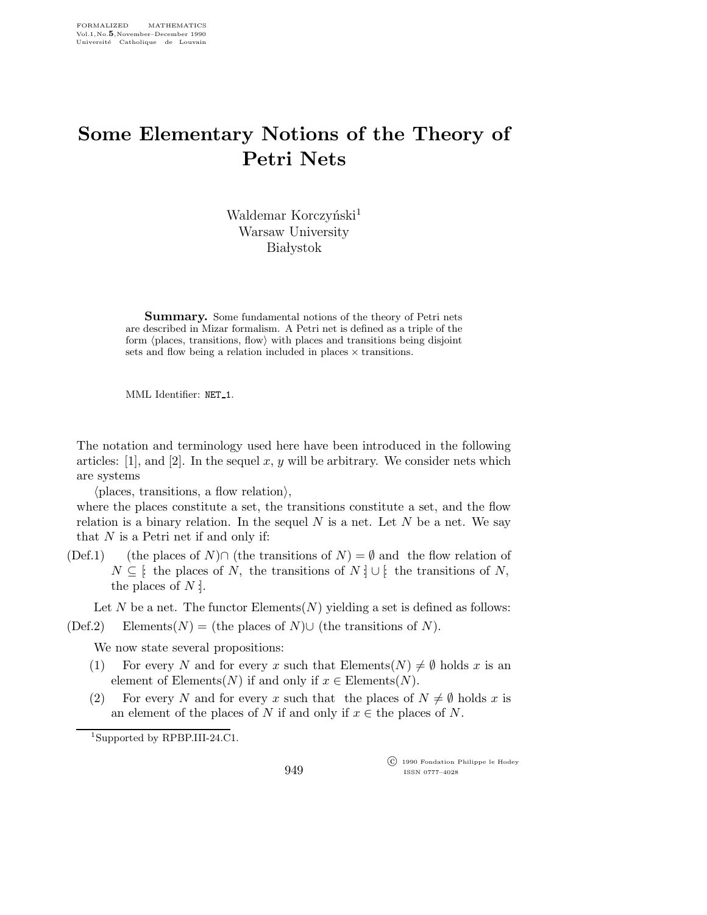## Some Elementary Notions of the Theory of Petri Nets

Waldemar Korczyński<sup>1</sup> Warsaw University **Białystok** 

Summary. Some fundamental notions of the theory of Petri nets are described in Mizar formalism. A Petri net is defined as a triple of the form  $\langle$  places, transitions, flow $\rangle$  with places and transitions being disjoint sets and flow being a relation included in places  $\times$  transitions.

MML Identifier: NET<sub>-1</sub>.

The notation and terminology used here have been introduced in the following articles: [1], and [2]. In the sequel x, y will be arbitrary. We consider nets which are systems

 $\langle$  places, transitions, a flow relation $\rangle$ ,

where the places constitute a set, the transitions constitute a set, and the flow relation is a binary relation. In the sequel  $N$  is a net. Let  $N$  be a net. We say that  $N$  is a Petri net if and only if:

(Def.1) (the places of N)∩ (the transitions of N) =  $\emptyset$  and the flow relation of  $N \subseteq [$  the places of N, the transitions of  $N$   $] \cup [$  the transitions of N, the places of  $N$  :

Let N be a net. The functor Elements(N) yielding a set is defined as follows:

 $(Def.2)$  Elements $(N) =$  (the places of N)∪ (the transitions of N).

We now state several propositions:

- (1) For every N and for every x such that Elements(N)  $\neq \emptyset$  holds x is an element of Elements(N) if and only if  $x \in$  Elements(N).
- (2) For every N and for every x such that the places of  $N \neq \emptyset$  holds x is an element of the places of N if and only if  $x \in$  the places of N.

<sup>1</sup>Supported by RPBP.III-24.C1.

 c 1990 Fondation Philippe le Hodey ISSN 0777–4028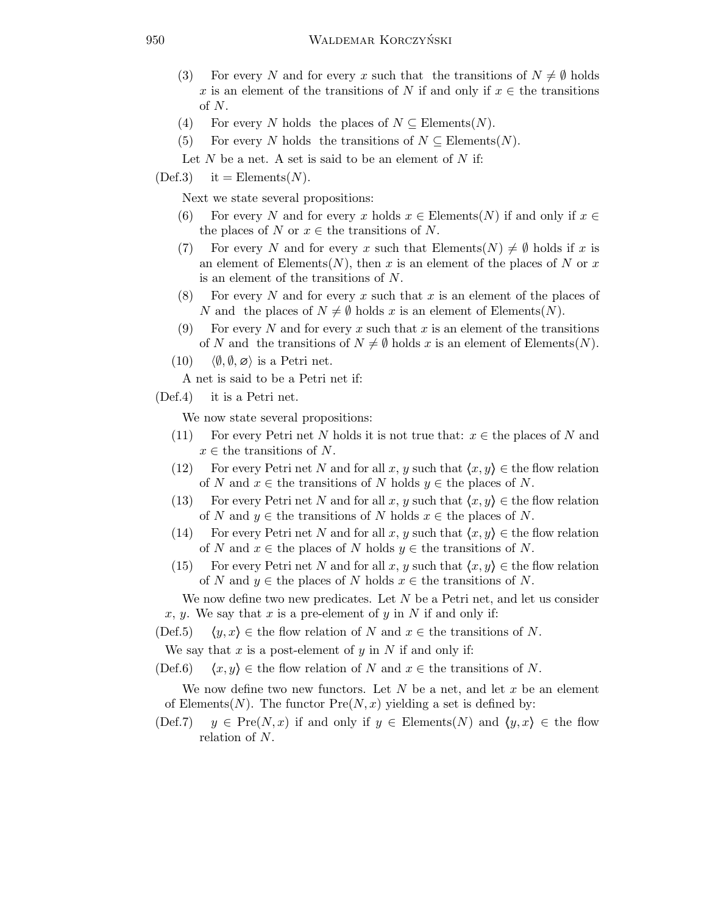- (3) For every N and for every x such that the transitions of  $N \neq \emptyset$  holds x is an element of the transitions of N if and only if  $x \in$  the transitions of  $N$ .
- (4) For every N holds the places of  $N \subseteq \text{Elements}(N)$ .
- (5) For every N holds the transitions of  $N \subseteq \text{Elements}(N)$ .
- Let  $N$  be a net. A set is said to be an element of  $N$  if:

 $(Def.3)$  it = Elements $(N)$ .

Next we state several propositions:

- (6) For every N and for every x holds  $x \in \text{Elements}(N)$  if and only if  $x \in$ the places of N or  $x \in$  the transitions of N.
- (7) For every N and for every x such that Elements(N)  $\neq \emptyset$  holds if x is an element of Elements(N), then x is an element of the places of N or x is an element of the transitions of N.
- (8) For every N and for every x such that x is an element of the places of N and the places of  $N \neq \emptyset$  holds x is an element of Elements(N).
- (9) For every N and for every x such that x is an element of the transitions of N and the transitions of  $N \neq \emptyset$  holds x is an element of Elements(N).
- $(10) \quad \langle \emptyset, \emptyset, \emptyset \rangle$  is a Petri net.
- A net is said to be a Petri net if:

(Def.4) it is a Petri net.

We now state several propositions:

- (11) For every Petri net N holds it is not true that:  $x \in$  the places of N and  $x \in$  the transitions of N.
- (12) For every Petri net N and for all x, y such that  $\langle x,y \rangle \in$  the flow relation of N and  $x \in$  the transitions of N holds  $y \in$  the places of N.
- (13) For every Petri net N and for all x, y such that  $\langle x,y \rangle \in$  the flow relation of N and  $y \in$  the transitions of N holds  $x \in$  the places of N.
- (14) For every Petri net N and for all x, y such that  $\langle x,y \rangle \in$  the flow relation of N and  $x \in$  the places of N holds  $y \in$  the transitions of N.
- (15) For every Petri net N and for all x, y such that  $\langle x, y \rangle \in$  the flow relation of N and  $y \in$  the places of N holds  $x \in$  the transitions of N.

We now define two new predicates. Let  $N$  be a Petri net, and let us consider x, y. We say that x is a pre-element of y in N if and only if:

(Def.5)  $\langle y, x \rangle \in$  the flow relation of N and  $x \in$  the transitions of N.

We say that  $x$  is a post-element of  $y$  in  $N$  if and only if:

(Def.6)  $\langle x, y \rangle \in$  the flow relation of N and  $x \in$  the transitions of N.

We now define two new functors. Let  $N$  be a net, and let  $x$  be an element of Elements(N). The functor  $Pre(N, x)$  yielding a set is defined by:

(Def.7)  $y \in \text{Pre}(N, x)$  if and only if  $y \in \text{Elements}(N)$  and  $\langle y, x \rangle \in \text{the flow}$ relation of N.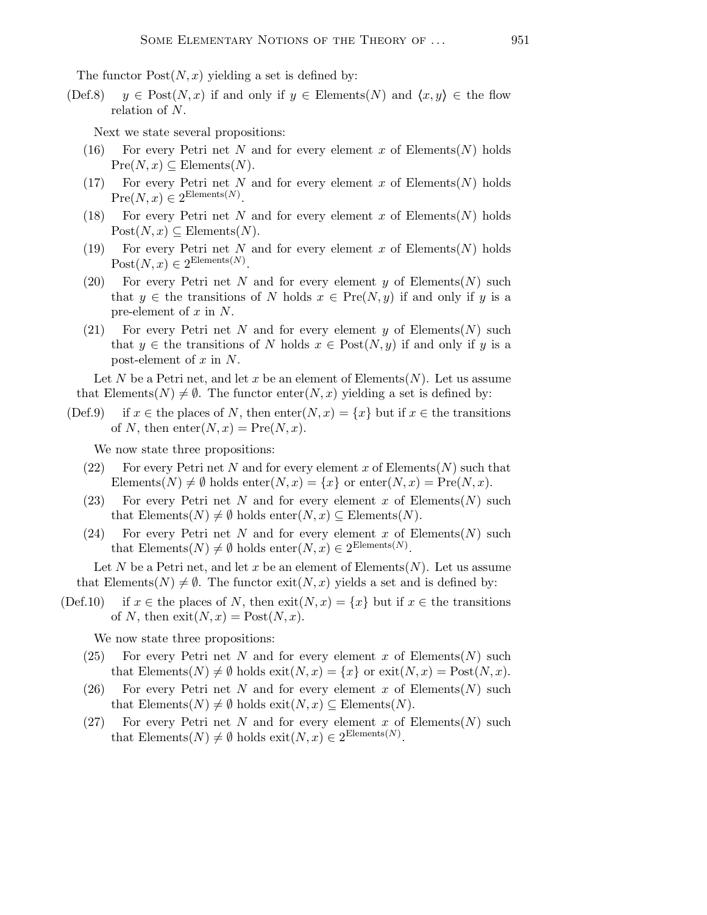The functor  $Post(N, x)$  yielding a set is defined by:

(Def.8)  $y \in \text{Post}(N, x)$  if and only if  $y \in \text{Elements}(N)$  and  $\langle x, y \rangle \in \text{the flow}$ relation of N.

Next we state several propositions:

- (16) For every Petri net N and for every element x of Elements(N) holds  $Pre(N, x) \subseteq Elements(N).$
- (17) For every Petri net N and for every element x of Elements $(N)$  holds  $Pre(N, x) \in 2^{\text{Elements}(N)}$ .
- (18) For every Petri net N and for every element x of Elements $(N)$  holds  $Post(N, x) \subseteq Elements(N).$
- (19) For every Petri net N and for every element x of Elements(N) holds  $\text{Post}(N, x) \in 2^{\text{Elements}(N)}$ .
- (20) For every Petri net N and for every element y of Elements (N) such that  $y \in$  the transitions of N holds  $x \in \text{Pre}(N, y)$  if and only if y is a pre-element of  $x$  in  $N$ .
- (21) For every Petri net N and for every element y of Elements  $(N)$  such that  $y \in$  the transitions of N holds  $x \in$  Post $(N, y)$  if and only if y is a post-element of  $x$  in  $N$ .

Let N be a Petri net, and let x be an element of Elements $(N)$ . Let us assume that Elements(N)  $\neq \emptyset$ . The functor enter(N, x) yielding a set is defined by:

(Def.9) if  $x \in$  the places of N, then enter $(N, x) = \{x\}$  but if  $x \in$  the transitions of N, then  $\text{enter}(N, x) = \text{Pre}(N, x)$ .

We now state three propositions:

- (22) For every Petri net N and for every element x of Elements(N) such that Elements(N)  $\neq \emptyset$  holds enter(N, x) = {x} or enter(N, x) = Pre(N, x).
- (23) For every Petri net N and for every element x of Elements(N) such that Elements(N)  $\neq \emptyset$  holds enter(N, x)  $\subseteq$  Elements(N).
- (24) For every Petri net N and for every element x of Elements  $(N)$  such that Elements(N)  $\neq \emptyset$  holds enter(N, x)  $\in 2^{\text{Elements}(N)}$ .

Let N be a Petri net, and let x be an element of Elements $(N)$ . Let us assume that Elements(N)  $\neq \emptyset$ . The functor exit(N, x) yields a set and is defined by:

(Def.10) if  $x \in$  the places of N, then  $\mathrm{exit}(N, x) = \{x\}$  but if  $x \in$  the transitions of N, then  $ext(N, x) = Post(N, x)$ .

We now state three propositions:

- (25) For every Petri net N and for every element x of Elements(N) such that Elements(N)  $\neq \emptyset$  holds  $ext(N, x) = \{x\}$  or  $ext(N, x) = \text{Post}(N, x)$ .
- (26) For every Petri net N and for every element x of Elements(N) such that Elements(N)  $\neq \emptyset$  holds exit(N, x)  $\subseteq$  Elements(N).
- (27) For every Petri net N and for every element x of Elements $(N)$  such that Elements(N)  $\neq \emptyset$  holds  $\mathrm{exit}(N, x) \in 2^{\mathrm{Elements}(N)}$ .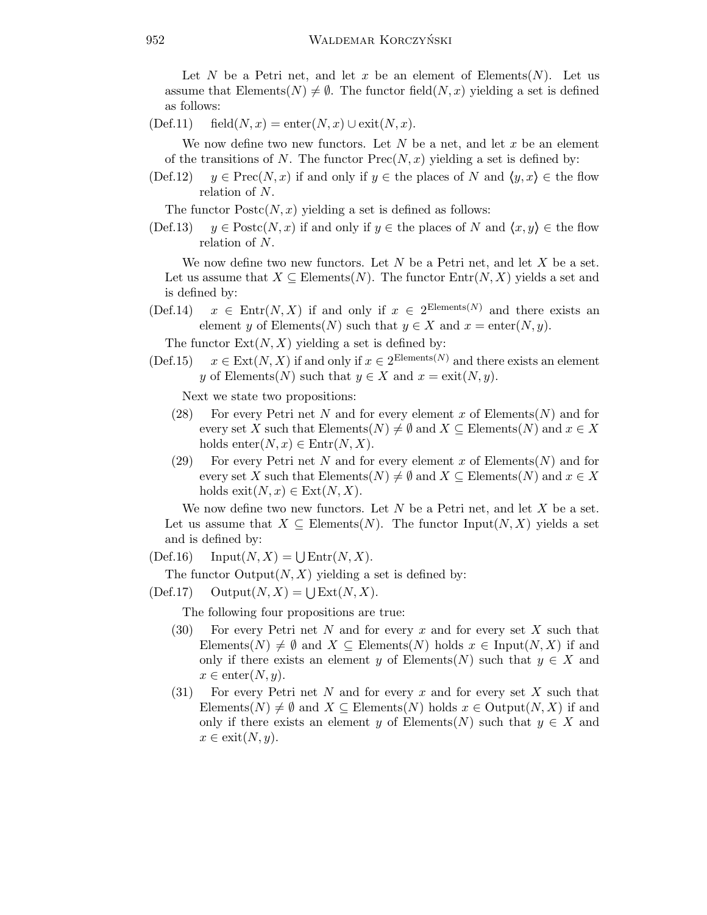Let N be a Petri net, and let x be an element of Elements $(N)$ . Let us assume that Elements(N)  $\neq \emptyset$ . The functor field(N,x) yielding a set is defined as follows:

 $(Def.11)$  field $(N, x)$  = enter $(N, x)$  ∪ exit $(N, x)$ .

We now define two new functors. Let  $N$  be a net, and let  $x$  be an element of the transitions of N. The functor  $Prec(N, x)$  yielding a set is defined by:

(Def.12)  $y \in \text{Prec}(N, x)$  if and only if  $y \in$  the places of N and  $\langle y, x \rangle \in$  the flow relation of N.

The functor  $Postc(N, x)$  yielding a set is defined as follows:

(Def.13)  $y \in \text{Postc}(N, x)$  if and only if  $y \in \text{the places of } N \text{ and } \langle x, y \rangle \in \text{the flow}$ relation of N.

We now define two new functors. Let  $N$  be a Petri net, and let  $X$  be a set. Let us assume that  $X \subseteq \text{Elements}(N)$ . The functor  $\text{Entry}(N, X)$  yields a set and is defined by:

 $(Def.14)$   $x \in \text{Entr}(N, X)$  if and only if  $x \in 2^{\text{Elements}(N)}$  and there exists an element y of Elements(N) such that  $y \in X$  and  $x = \text{enter}(N, y)$ .

The functor  $Ext(N, X)$  yielding a set is defined by:

(Def.15)  $x \in \text{Ext}(N, X)$  if and only if  $x \in 2^{\text{Elements}(N)}$  and there exists an element y of Elements(N) such that  $y \in X$  and  $x = \text{exit}(N, y)$ .

Next we state two propositions:

- (28) For every Petri net N and for every element x of Elements $(N)$  and for every set X such that Elements(N)  $\neq \emptyset$  and  $X \subseteq$  Elements(N) and  $x \in X$ holds enter $(N, x) \in \text{Entr}(N, X)$ .
- (29) For every Petri net N and for every element x of Elements $(N)$  and for every set X such that Elements(N)  $\neq \emptyset$  and  $X \subseteq$  Elements(N) and  $x \in X$ holds  $ext(N, x) \in Ext(N, X)$ .

We now define two new functors. Let  $N$  be a Petri net, and let  $X$  be a set. Let us assume that  $X \subseteq \mathrm{Elements}(N)$ . The functor Input $(N, X)$  yields a set and is defined by:

 $(\text{Def.16})$  Input $(N, X) = \bigcup \text{Entr}(N, X)$ .

The functor  $Output(N, X)$  yielding a set is defined by:

 $(\text{Def.17})$  Output $(N, X) = \bigcup \text{Ext}(N, X)$ .

The following four propositions are true:

- (30) For every Petri net N and for every x and for every set X such that Elements(N)  $\neq \emptyset$  and  $X \subseteq$  Elements(N) holds  $x \in$  Input(N, X) if and only if there exists an element y of Elements(N) such that  $y \in X$  and  $x \in \text{enter}(N, y)$ .
- (31) For every Petri net N and for every x and for every set X such that Elements(N)  $\neq \emptyset$  and  $X \subseteq$  Elements(N) holds  $x \in$  Output(N, X) if and only if there exists an element y of Elements(N) such that  $y \in X$  and  $x \in \text{exit}(N, y).$